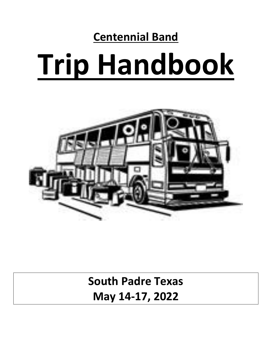# **Centennial Band Trip Handbook**



**South Padre Texas May 14-17, 2022**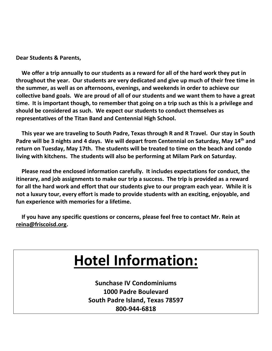**Dear Students & Parents,**

 **We offer a trip annually to our students as a reward for all of the hard work they put in throughout the year. Our students are very dedicated and give up much of their free time in the summer, as well as on afternoons, evenings, and weekends in order to achieve our collective band goals. We are proud of all of our students and we want them to have a great time. It is important though, to remember that going on a trip such as this is a privilege and should be considered as such. We expect our students to conduct themselves as representatives of the Titan Band and Centennial High School.** 

 **This year we are traveling to South Padre, Texas through R and R Travel. Our stay in South Padre will be 3 nights and 4 days. We will depart from Centennial on Saturday, May 14 th and return on Tuesday, May 17th. The students will be treated to time on the beach and condo living with kitchens. The students will also be performing at Milam Park on Saturday.**

 **Please read the enclosed information carefully. It includes expectations for conduct, the itinerary, and job assignments to make our trip a success. The trip is provided as a reward for all the hard work and effort that our students give to our program each year. While it is not a luxury tour, every effort is made to provide students with an exciting, enjoyable, and fun experience with memories for a lifetime.**

 **If you have any specific questions or concerns, please feel free to contact Mr. Rein at reina@friscoisd.org.**

# **Hotel Information:**

**Sunchase IV Condominiums 1000 Padre Boulevard South Padre Island, Texas 78597 800-944-6818**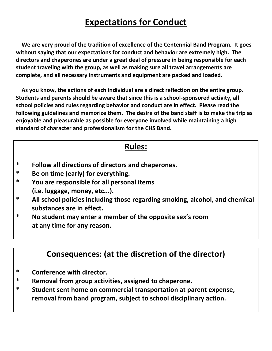# **Expectations for Conduct**

 **We are very proud of the tradition of excellence of the Centennial Band Program. It goes without saying that our expectations for conduct and behavior are extremely high. The directors and chaperones are under a great deal of pressure in being responsible for each student traveling with the group, as well as making sure all travel arrangements are complete, and all necessary instruments and equipment are packed and loaded.**

 **As you know, the actions of each individual are a direct reflection on the entire group. Students and parents should be aware that since this is a school-sponsored activity, all school policies and rules regarding behavior and conduct are in effect. Please read the following guidelines and memorize them. The desire of the band staff is to make the trip as enjoyable and pleasurable as possible for everyone involved while maintaining a high standard of character and professionalism for the CHS Band.**

#### **Rules:**

- **\* Follow all directions of directors and chaperones.**
- **\* Be on time (early) for everything.**
- **\* You are responsible for all personal items (i.e. luggage, money, etc...).**
- **\* All school policies including those regarding smoking, alcohol, and chemical substances are in effect.**
- **\* No student may enter a member of the opposite sex's room at any time for any reason.**

# **Consequences: (at the discretion of the director)**

- **\* Conference with director.**
- **\* Removal from group activities, assigned to chaperone.**
- **\* Student sent home on commercial transportation at parent expense, removal from band program, subject to school disciplinary action.**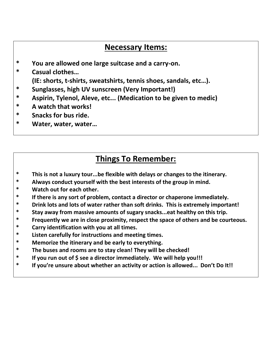# **Necessary Items:**

- **\* You are allowed one large suitcase and a carry-on.**
- **\* Casual clothes…** 
	- **(IE: shorts, t-shirts, sweatshirts, tennis shoes, sandals, etc…).**
- **\* Sunglasses, high UV sunscreen (Very Important!)**
- **\* Aspirin, Tylenol, Aleve, etc... (Medication to be given to medic)**
- **\* A watch that works!**
- **\* Snacks for bus ride.**
- **\* Water, water, water…**

# **Things To Remember:**

- **\* This is not a luxury tour...be flexible with delays or changes to the itinerary.**
- **\* Always conduct yourself with the best interests of the group in mind.**
- **\* Watch out for each other.**
- **\* If there is any sort of problem, contact a director or chaperone immediately.**
- **\* Drink lots and lots of water rather than soft drinks. This is extremely important!**
- **\* Stay away from massive amounts of sugary snacks...eat healthy on this trip.**
- **\* Frequently we are in close proximity, respect the space of others and be courteous.**
- **\* Carry identification with you at all times.**
- **\* Listen carefully for instructions and meeting times.**
- **\* Memorize the itinerary and be early to everything.**
- **\* The buses and rooms are to stay clean! They will be checked!**
- **\* If you run out of \$ see a director immediately. We will help you!!!**
- **\* If you're unsure about whether an activity or action is allowed... Don't Do It!!**